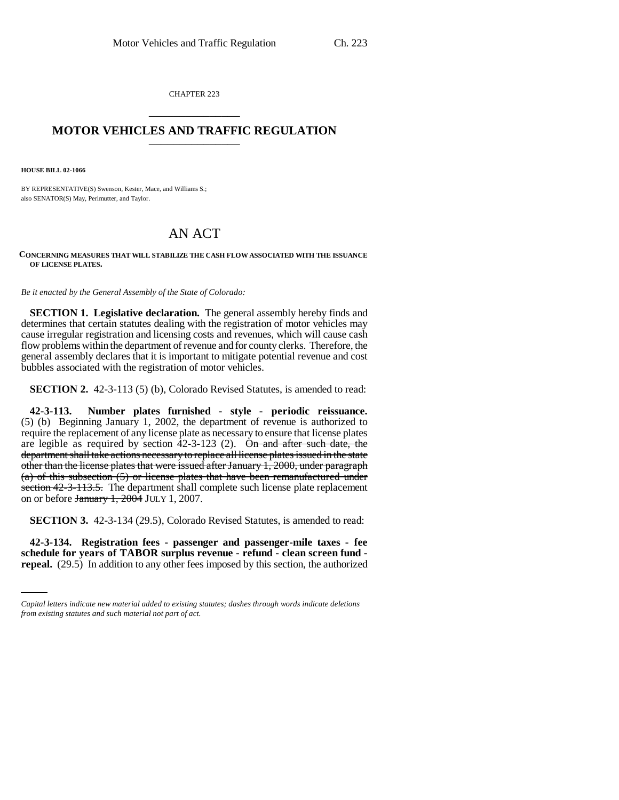CHAPTER 223 \_\_\_\_\_\_\_\_\_\_\_\_\_\_\_

## **MOTOR VEHICLES AND TRAFFIC REGULATION** \_\_\_\_\_\_\_\_\_\_\_\_\_\_\_

**HOUSE BILL 02-1066**

BY REPRESENTATIVE(S) Swenson, Kester, Mace, and Williams S.; also SENATOR(S) May, Perlmutter, and Taylor.

## AN ACT

## **CONCERNING MEASURES THAT WILL STABILIZE THE CASH FLOW ASSOCIATED WITH THE ISSUANCE OF LICENSE PLATES.**

*Be it enacted by the General Assembly of the State of Colorado:*

**SECTION 1. Legislative declaration.** The general assembly hereby finds and determines that certain statutes dealing with the registration of motor vehicles may cause irregular registration and licensing costs and revenues, which will cause cash flow problems within the department of revenue and for county clerks. Therefore, the general assembly declares that it is important to mitigate potential revenue and cost bubbles associated with the registration of motor vehicles.

**SECTION 2.** 42-3-113 (5) (b), Colorado Revised Statutes, is amended to read:

**42-3-113. Number plates furnished - style - periodic reissuance.** (5) (b) Beginning January 1, 2002, the department of revenue is authorized to require the replacement of any license plate as necessary to ensure that license plates are legible as required by section  $42-3-123$  (2). On and after such date, the department shall take actions necessary to replace all license plates issued in the state other than the license plates that were issued after January 1, 2000, under paragraph (a) of this subsection (5) or license plates that have been remanufactured under section 42-3-113.5. The department shall complete such license plate replacement on or before  $\frac{\text{January } 1, 2004}{\text{ JULY } 1, 2007}$ .

**SECTION 3.** 42-3-134 (29.5), Colorado Revised Statutes, is amended to read:

 **42-3-134. Registration fees - passenger and passenger-mile taxes - fee schedule for years of TABOR surplus revenue - refund - clean screen fund repeal.** (29.5) In addition to any other fees imposed by this section, the authorized

*Capital letters indicate new material added to existing statutes; dashes through words indicate deletions from existing statutes and such material not part of act.*